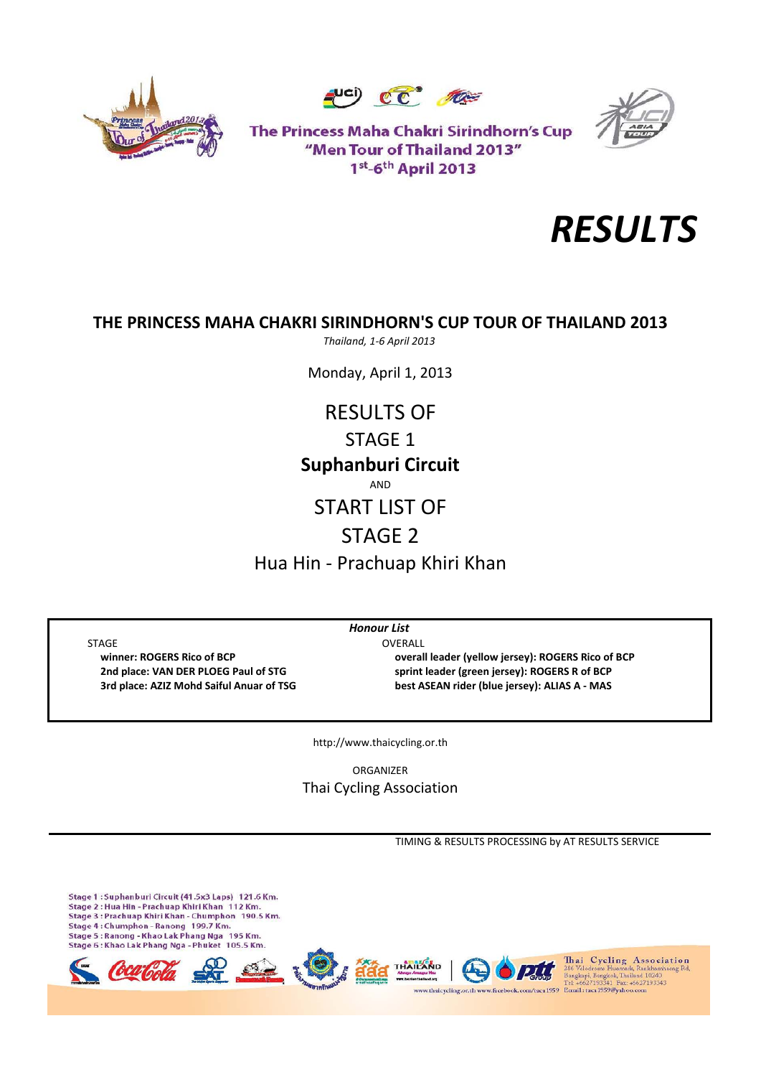





The Princess Maha Chakri Sirindhorn's Cup "Men Tour of Thailand 2013" 1st-6th April 2013



## **THE PRINCESS MAHA CHAKRI SIRINDHORN'S CUP TOUR OF THAILAND 2013**

*Thailand, 1‐6 April 2013*

Monday, April 1, 2013

**Suphanburi Circuit** AND START LIST OF STAGE 2 RESULTS OF STAGE 1

Hua Hin ‐ Prachuap Khiri Khan

*Honour List*

STAGE OVERALL

 **winner: ROGERS Rico of BCP overall leader (yellow jersey): ROGERS Rico of BCP 2nd place: VAN DER PLOEG Paul of STG sprint leader (green jersey): ROGERS R of BCP** 3rd place: AZIZ Mohd Saiful Anuar of TSG best ASEAN rider (blue jersey): ALIAS A - MAS

http://www.thaicycling.or.th

ORGANIZER Thai Cycling Association

TIMING & RESULTS PROCESSING by AT RESULTS SERVICE

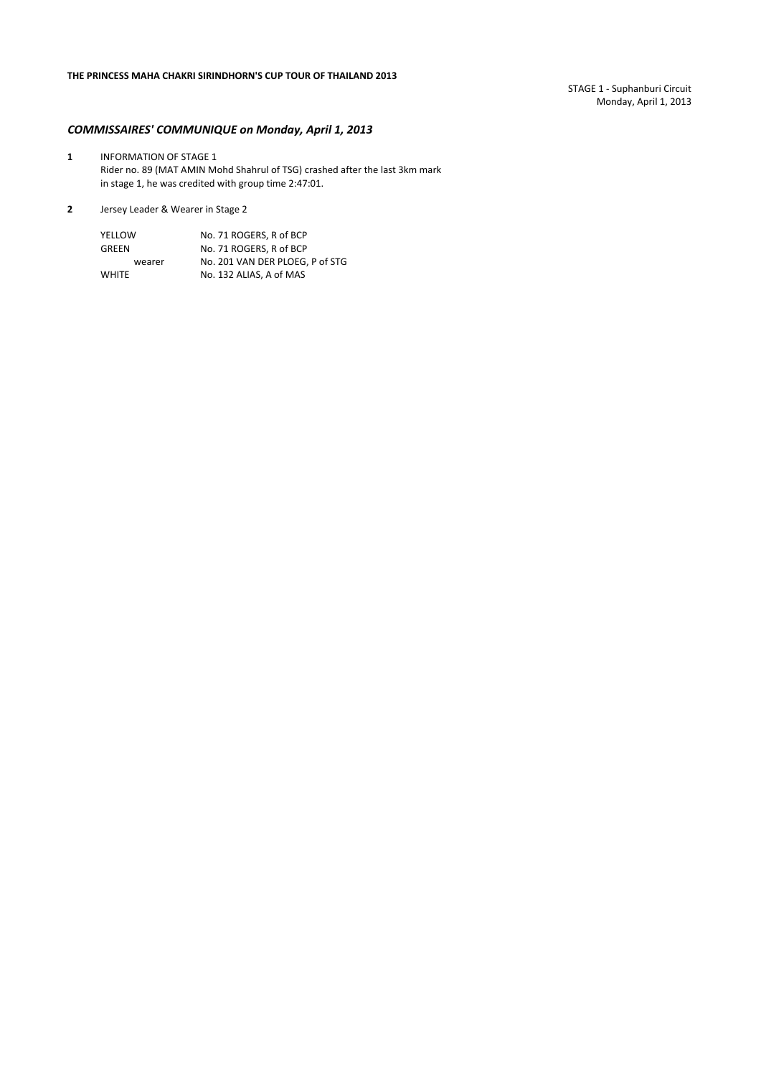STAGE 1 ‐ Suphanburi Circuit Monday, April 1, 2013

## *COMMISSAIRES' COMMUNIQUE on Monday, April 1, 2013*

- **1** INFORMATION OF STAGE 1 Rider no. 89 (MAT AMIN Mohd Shahrul of TSG) crashed after the last 3km mark in stage 1, he was credited with group time 2:47:01.
- **2** Jersey Leader & Wearer in Stage 2

| YELLOW       | No. 71 ROGERS. R of BCP         |  |  |  |  |
|--------------|---------------------------------|--|--|--|--|
| GREEN        | No. 71 ROGERS. R of BCP         |  |  |  |  |
| wearer       | No. 201 VAN DER PLOEG, P of STG |  |  |  |  |
| <b>WHITE</b> | No. 132 ALIAS. A of MAS         |  |  |  |  |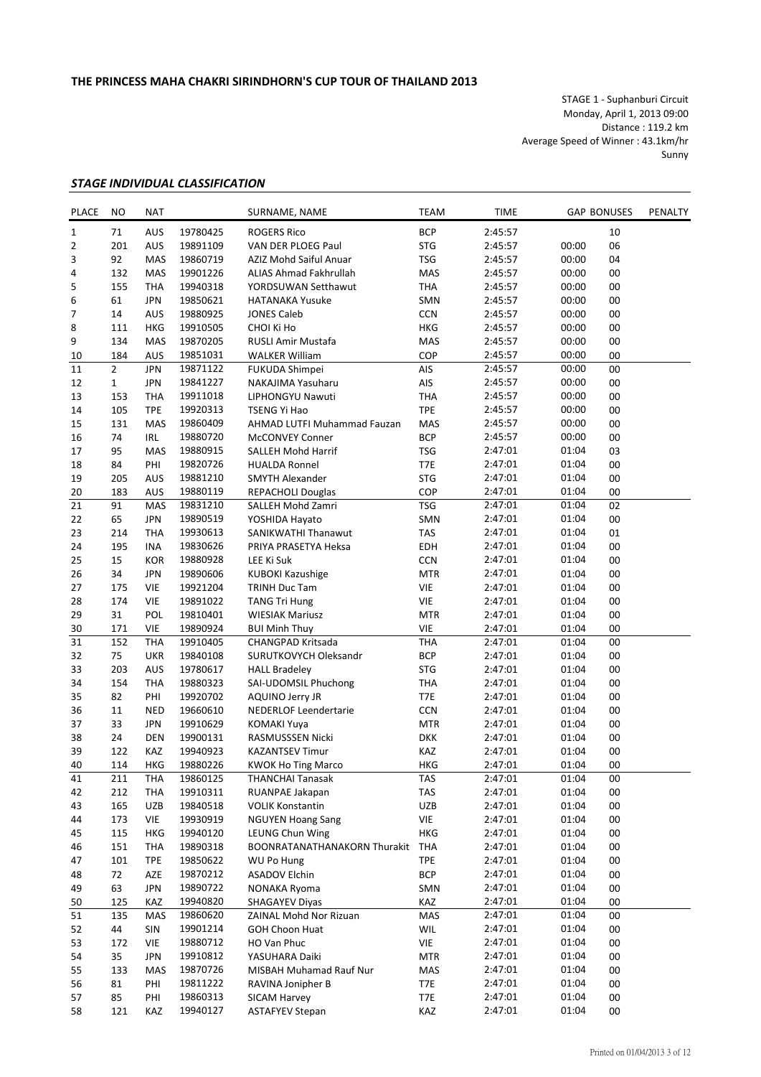STAGE 1 ‐ Suphanburi Circuit Monday, April 1, 2013 09:00 Distance : 119.2 km Average Speed of Winner : 43.1km/hr Sunny

## *STAGE INDIVIDUAL CLASSIFICATION*

| PLACE           | NO             | <b>NAT</b> |          | SURNAME, NAME                | <b>TEAM</b> | <b>TIME</b> |                | <b>GAP BONUSES</b> | PENALTY |
|-----------------|----------------|------------|----------|------------------------------|-------------|-------------|----------------|--------------------|---------|
| 1               | 71             | AUS        | 19780425 | <b>ROGERS Rico</b>           | <b>BCP</b>  | 2:45:57     |                | 10                 |         |
| 2               | 201            | AUS        | 19891109 | VAN DER PLOEG Paul           | <b>STG</b>  | 2:45:57     | 00:00          | 06                 |         |
| 3               | 92             | MAS        | 19860719 | AZIZ Mohd Saiful Anuar       | <b>TSG</b>  | 2:45:57     | 00:00          | 04                 |         |
| 4               | 132            | <b>MAS</b> | 19901226 | ALIAS Ahmad Fakhrullah       | MAS         | 2:45:57     | 00:00          | 00                 |         |
| 5               | 155            | <b>THA</b> | 19940318 | YORDSUWAN Setthawut          | <b>THA</b>  | 2:45:57     | 00:00          | 00                 |         |
| 6               | 61             | <b>JPN</b> | 19850621 | <b>HATANAKA Yusuke</b>       | SMN         | 2:45:57     | 00:00          | 00                 |         |
| 7               | 14             | AUS        | 19880925 | <b>JONES Caleb</b>           | CCN         | 2:45:57     | 00:00          | 00                 |         |
| 8               | 111            | <b>HKG</b> | 19910505 | CHOI Ki Ho                   | HKG         | 2:45:57     | 00:00          | 00                 |         |
| 9               | 134            | MAS        | 19870205 | RUSLI Amir Mustafa           | MAS         | 2:45:57     | 00:00          | 00                 |         |
| 10              | 184            | AUS        | 19851031 | <b>WALKER William</b>        | COP         | 2:45:57     | 00:00          | 00                 |         |
| 11              | $\overline{2}$ | <b>JPN</b> | 19871122 | FUKUDA Shimpei               | AIS         | 2:45:57     | 00:00          | 00                 |         |
| 12              | $\mathbf{1}$   | <b>JPN</b> | 19841227 | NAKAJIMA Yasuharu            | AIS         | 2:45:57     | 00:00          | 00                 |         |
|                 |                |            |          |                              |             |             |                |                    |         |
| 13              | 153            | <b>THA</b> | 19911018 | LIPHONGYU Nawuti             | <b>THA</b>  | 2:45:57     | 00:00          | 00                 |         |
| 14              | 105            | <b>TPE</b> | 19920313 | TSENG Yi Hao                 | <b>TPE</b>  | 2:45:57     | 00:00          | 00                 |         |
| 15              | 131            | MAS        | 19860409 | AHMAD LUTFI Muhammad Fauzan  | MAS         | 2:45:57     | 00:00          | 00                 |         |
| 16              | 74             | <b>IRL</b> | 19880720 | <b>McCONVEY Conner</b>       | <b>BCP</b>  | 2:45:57     | 00:00          | 00                 |         |
| 17              | 95             | MAS        | 19880915 | <b>SALLEH Mohd Harrif</b>    | <b>TSG</b>  | 2:47:01     | 01:04          | 03                 |         |
| 18              | 84             | PHI        | 19820726 | <b>HUALDA Ronnel</b>         | T7E         | 2:47:01     | 01:04          | 00                 |         |
| 19              | 205            | AUS        | 19881210 | <b>SMYTH Alexander</b>       | <b>STG</b>  | 2:47:01     | 01:04          | 00                 |         |
| 20              | 183            | AUS        | 19880119 | <b>REPACHOLI Douglas</b>     | COP         | 2:47:01     | 01:04          | 00                 |         |
| 21              | 91             | MAS        | 19831210 | SALLEH Mohd Zamri            | <b>TSG</b>  | 2:47:01     | 01:04          | 02                 |         |
| 22              | 65             | <b>JPN</b> | 19890519 | YOSHIDA Hayato               | SMN         | 2:47:01     | 01:04          | 00                 |         |
| 23              | 214            | <b>THA</b> | 19930613 | SANIKWATHI Thanawut          | <b>TAS</b>  | 2:47:01     | 01:04          | 01                 |         |
| 24              | 195            | <b>INA</b> | 19830626 | PRIYA PRASETYA Heksa         | <b>EDH</b>  | 2:47:01     | 01:04          | 00                 |         |
| 25              | 15             | <b>KOR</b> | 19880928 | LEE Ki Suk                   | <b>CCN</b>  | 2:47:01     | 01:04          | 00                 |         |
| 26              | 34             | <b>JPN</b> | 19890606 | <b>KUBOKI Kazushige</b>      | <b>MTR</b>  | 2:47:01     | 01:04          | 00                 |         |
| 27              | 175            | <b>VIE</b> | 19921204 | TRINH Duc Tam                | VIE         | 2:47:01     | 01:04          | 00                 |         |
| 28              | 174            | VIE        | 19891022 | <b>TANG Tri Hung</b>         | VIE         | 2:47:01     | 01:04          | 00                 |         |
| 29              | 31             | POL        | 19810401 | <b>WIESIAK Mariusz</b>       | <b>MTR</b>  | 2:47:01     | 01:04          | 00                 |         |
| 30              | 171            | VIE        | 19890924 | <b>BUI Minh Thuy</b>         | VIE         | 2:47:01     | 01:04          | 00                 |         |
| $\overline{31}$ |                |            |          |                              |             | 2:47:01     | 01:04          |                    |         |
|                 | 152            | <b>THA</b> | 19910405 | CHANGPAD Kritsada            | THA         |             |                | 00                 |         |
| 32              | 75             | <b>UKR</b> | 19840108 | SURUTKOVYCH Oleksandr        | <b>BCP</b>  | 2:47:01     | 01:04          | 00                 |         |
| 33              | 203            | <b>AUS</b> | 19780617 | <b>HALL Bradeley</b>         | <b>STG</b>  | 2:47:01     | 01:04          | 00                 |         |
| 34              | 154            | <b>THA</b> | 19880323 | SAI-UDOMSIL Phuchong         | <b>THA</b>  | 2:47:01     | 01:04          | 00                 |         |
| 35              | 82             | PHI        | 19920702 | AQUINO Jerry JR              | T7E         | 2:47:01     | 01:04          | 00                 |         |
| 36              | 11             | <b>NED</b> | 19660610 | <b>NEDERLOF Leendertarie</b> | <b>CCN</b>  | 2:47:01     | 01:04          | 00                 |         |
| 37              | 33             | <b>JPN</b> | 19910629 | <b>KOMAKI Yuya</b>           | <b>MTR</b>  | 2:47:01     | 01:04          | 00                 |         |
| 38              | 24             | <b>DEN</b> | 19900131 | RASMUSSSEN Nicki             | <b>DKK</b>  | 2:47:01     | 01:04          | 00                 |         |
| 39              | 122            | KAZ        | 19940923 | <b>KAZANTSEV Timur</b>       | KAZ         | 2:47:01     | 01:04          | 00                 |         |
| 40              | 114            | <b>HKG</b> | 19880226 | <b>KWOK Ho Ting Marco</b>    | <b>HKG</b>  | 2:47:01     | 01:04          | 00                 |         |
| 41              | 211            | THA        | 19860125 | <b>THANCHAI Tanasak</b>      | TAS         | 2:47:01     | 01:04          | 00                 |         |
| 42              | 212            | THA        | 19910311 | RUANPAE Jakapan              | TAS         | 2:47:01     | 01:04          | 00                 |         |
| 43              | 165            | UZB        | 19840518 | <b>VOLIK Konstantin</b>      | UZB         | 2:47:01     | 01:04          | 00                 |         |
| 44              | 173            | VIE        | 19930919 | <b>NGUYEN Hoang Sang</b>     | VIE         | 2:47:01     | 01:04          | 00                 |         |
| 45              | 115            | <b>HKG</b> | 19940120 | LEUNG Chun Wing              | HKG         | 2:47:01     | 01:04          | 00                 |         |
| 46              | 151            | THA        | 19890318 | BOONRATANATHANAKORN Thurakit | THA         | 2:47:01     | 01:04          | 00                 |         |
| 47              | 101            | <b>TPE</b> | 19850622 | WU Po Hung                   | <b>TPE</b>  | 2:47:01     | 01:04          | 00                 |         |
| 48              | 72             | AZE        | 19870212 | <b>ASADOV Elchin</b>         | <b>BCP</b>  | 2:47:01     | 01:04          | 00                 |         |
| 49              | 63             | <b>JPN</b> | 19890722 | NONAKA Ryoma                 | SMN         | 2:47:01     | 01:04          | 00                 |         |
|                 | 125            |            |          |                              | KAZ         |             |                |                    |         |
| 50              |                | KAZ        | 19940820 | <b>SHAGAYEV Diyas</b>        |             | 2:47:01     | 01:04<br>01:04 | 00                 |         |
| 51              | 135            | MAS        | 19860620 | ZAINAL Mohd Nor Rizuan       | MAS         | 2:47:01     |                | 00                 |         |
| 52              | 44             | SIN        | 19901214 | <b>GOH Choon Huat</b>        | WIL         | 2:47:01     | 01:04          | 00                 |         |
| 53              | 172            | <b>VIE</b> | 19880712 | HO Van Phuc                  | VIE         | 2:47:01     | 01:04          | 00                 |         |
| 54              | 35             | <b>JPN</b> | 19910812 | YASUHARA Daiki               | <b>MTR</b>  | 2:47:01     | 01:04          | 00                 |         |
| 55              | 133            | MAS        | 19870726 | MISBAH Muhamad Rauf Nur      | MAS         | 2:47:01     | 01:04          | 00                 |         |
| 56              | 81             | PHI        | 19811222 | RAVINA Jonipher B            | T7E         | 2:47:01     | 01:04          | 00                 |         |
| 57              | 85             | PHI        | 19860313 | <b>SICAM Harvey</b>          | T7E         | 2:47:01     | 01:04          | 00                 |         |
| 58              | 121            | KAZ        | 19940127 | <b>ASTAFYEV Stepan</b>       | KAZ         | 2:47:01     | 01:04          | 00                 |         |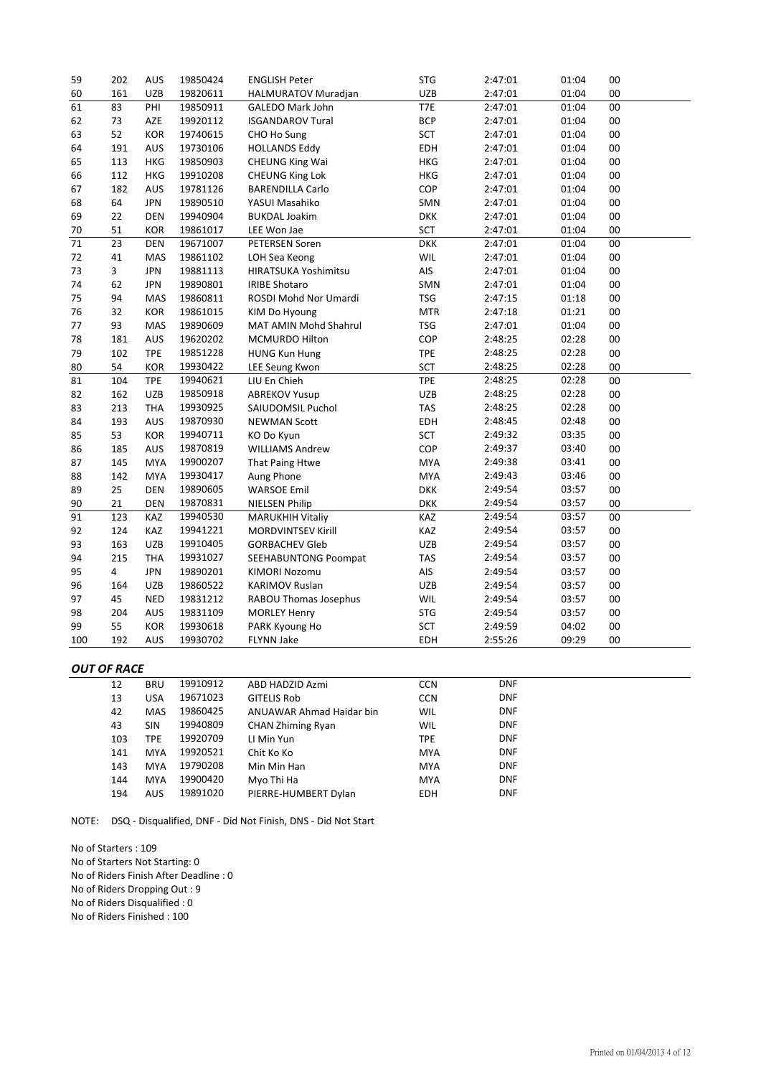| 59  | 202            | AUS        | 19850424 | <b>ENGLISH Peter</b>         | <b>STG</b> | 2:47:01 | 01:04 | 00     |
|-----|----------------|------------|----------|------------------------------|------------|---------|-------|--------|
| 60  | 161            | <b>UZB</b> | 19820611 | HALMURATOV Muradjan          | UZB        | 2:47:01 | 01:04 | 00     |
| 61  | 83             | PHI        | 19850911 | <b>GALEDO Mark John</b>      | T7E        | 2:47:01 | 01:04 | 00     |
| 62  | 73             | AZE        | 19920112 | <b>ISGANDAROV Tural</b>      | <b>BCP</b> | 2:47:01 | 01:04 | 00     |
| 63  | 52             | KOR        | 19740615 | CHO Ho Sung                  | SCT        | 2:47:01 | 01:04 | 00     |
| 64  | 191            | AUS        | 19730106 | <b>HOLLANDS Eddy</b>         | EDH        | 2:47:01 | 01:04 | 00     |
| 65  | 113            | <b>HKG</b> | 19850903 | <b>CHEUNG King Wai</b>       | HKG        | 2:47:01 | 01:04 | 00     |
| 66  | 112            | <b>HKG</b> | 19910208 | CHEUNG King Lok              | HKG        | 2:47:01 | 01:04 | 00     |
| 67  | 182            | AUS        | 19781126 | <b>BARENDILLA Carlo</b>      | COP        | 2:47:01 | 01:04 | 00     |
| 68  | 64             | <b>JPN</b> | 19890510 | YASUI Masahiko               | SMN        | 2:47:01 | 01:04 | 00     |
| 69  | 22             | <b>DEN</b> | 19940904 | <b>BUKDAL Joakim</b>         | <b>DKK</b> | 2:47:01 | 01:04 | 00     |
| 70  | 51             | <b>KOR</b> | 19861017 | LEE Won Jae                  | <b>SCT</b> | 2:47:01 | 01:04 | 00     |
| 71  | 23             | <b>DEN</b> | 19671007 | <b>PETERSEN Soren</b>        | <b>DKK</b> | 2:47:01 | 01:04 | 00     |
| 72  | 41             | <b>MAS</b> | 19861102 | LOH Sea Keong                | WIL        | 2:47:01 | 01:04 | 00     |
| 73  | 3              | <b>JPN</b> | 19881113 | HIRATSUKA Yoshimitsu         | AIS        | 2:47:01 | 01:04 | 00     |
| 74  | 62             | <b>JPN</b> | 19890801 | <b>IRIBE Shotaro</b>         | SMN        | 2:47:01 | 01:04 | $00\,$ |
| 75  | 94             | MAS        | 19860811 | ROSDI Mohd Nor Umardi        | <b>TSG</b> | 2:47:15 | 01:18 | 00     |
| 76  | 32             | <b>KOR</b> | 19861015 | KIM Do Hyoung                | <b>MTR</b> | 2:47:18 | 01:21 | 00     |
| 77  | 93             | <b>MAS</b> | 19890609 | MAT AMIN Mohd Shahrul        | <b>TSG</b> | 2:47:01 | 01:04 | 00     |
| 78  | 181            | AUS        | 19620202 | MCMURDO Hilton               | COP        | 2:48:25 | 02:28 | 00     |
| 79  | 102            | <b>TPE</b> | 19851228 | <b>HUNG Kun Hung</b>         | <b>TPE</b> | 2:48:25 | 02:28 | 00     |
| 80  | 54             | <b>KOR</b> | 19930422 | <b>LEE Seung Kwon</b>        | <b>SCT</b> | 2:48:25 | 02:28 | 00     |
| 81  | 104            | <b>TPE</b> | 19940621 | LIU En Chieh                 | <b>TPE</b> | 2:48:25 | 02:28 | 00     |
| 82  | 162            | <b>UZB</b> | 19850918 | <b>ABREKOV Yusup</b>         | <b>UZB</b> | 2:48:25 | 02:28 | 00     |
| 83  | 213            | <b>THA</b> | 19930925 | SAIUDOMSIL Puchol            | <b>TAS</b> | 2:48:25 | 02:28 | 00     |
| 84  | 193            | AUS        | 19870930 | <b>NEWMAN Scott</b>          | EDH        | 2:48:45 | 02:48 | 00     |
| 85  | 53             | <b>KOR</b> | 19940711 | KO Do Kyun                   | <b>SCT</b> | 2:49:32 | 03:35 | 00     |
| 86  | 185            | <b>AUS</b> | 19870819 | <b>WILLIAMS Andrew</b>       | COP        | 2:49:37 | 03:40 | 00     |
| 87  | 145            | <b>MYA</b> | 19900207 | That Paing Htwe              | <b>MYA</b> | 2:49:38 | 03:41 | 00     |
| 88  | 142            | <b>MYA</b> | 19930417 | Aung Phone                   | <b>MYA</b> | 2:49:43 | 03:46 | 00     |
| 89  | 25             | <b>DEN</b> | 19890605 | <b>WARSOE Emil</b>           | <b>DKK</b> | 2:49:54 | 03:57 | 00     |
| 90  | 21             | <b>DEN</b> | 19870831 | <b>NIELSEN Philip</b>        | <b>DKK</b> | 2:49:54 | 03:57 | 00     |
| 91  | 123            | <b>KAZ</b> | 19940530 | <b>MARUKHIH Vitaliy</b>      | KAZ        | 2:49:54 | 03:57 | 00     |
| 92  | 124            | KAZ        | 19941221 | <b>MORDVINTSEV Kirill</b>    | KAZ        | 2:49:54 | 03:57 | 00     |
| 93  | 163            | UZB        | 19910405 | <b>GORBACHEV Gleb</b>        | UZB        | 2:49:54 | 03:57 | 00     |
| 94  | 215            | <b>THA</b> | 19931027 | <b>SEEHABUNTONG Poompat</b>  | <b>TAS</b> | 2:49:54 | 03:57 | 00     |
| 95  | $\overline{4}$ | <b>JPN</b> | 19890201 | KIMORI Nozomu                | AIS        | 2:49:54 | 03:57 | 00     |
| 96  | 164            | <b>UZB</b> | 19860522 | <b>KARIMOV Ruslan</b>        | UZB        | 2:49:54 | 03:57 | 00     |
| 97  | 45             | <b>NED</b> | 19831212 | <b>RABOU Thomas Josephus</b> | WIL        | 2:49:54 | 03:57 | 00     |
| 98  | 204            | AUS        | 19831109 | <b>MORLEY Henry</b>          | <b>STG</b> | 2:49:54 | 03:57 | 00     |
| 99  | 55             | <b>KOR</b> | 19930618 | PARK Kyoung Ho               | <b>SCT</b> | 2:49:59 | 04:02 | 00     |
| 100 | 192            | AUS        | 19930702 | <b>FLYNN Jake</b>            | EDH        | 2:55:26 | 09:29 | 00     |

## *OUT OF RACE*

| 12  | <b>BRU</b> | 19910912 | ABD HADZID Azmi          | <b>CCN</b> | <b>DNF</b> |  |
|-----|------------|----------|--------------------------|------------|------------|--|
| 13  | <b>USA</b> | 19671023 | <b>GITELIS Rob</b>       | <b>CCN</b> | <b>DNF</b> |  |
| 42  | <b>MAS</b> | 19860425 | ANUAWAR Ahmad Haidar bin | <b>WIL</b> | <b>DNF</b> |  |
| 43  | <b>SIN</b> | 19940809 | <b>CHAN Zhiming Ryan</b> | <b>WIL</b> | <b>DNF</b> |  |
| 103 | <b>TPE</b> | 19920709 | LI Min Yun               | <b>TPE</b> | <b>DNF</b> |  |
| 141 | <b>MYA</b> | 19920521 | Chit Ko Ko               | <b>MYA</b> | <b>DNF</b> |  |
| 143 | <b>MYA</b> | 19790208 | Min Min Han              | <b>MYA</b> | <b>DNF</b> |  |
| 144 | <b>MYA</b> | 19900420 | Myo Thi Ha               | <b>MYA</b> | <b>DNF</b> |  |
| 194 | <b>AUS</b> | 19891020 | PIERRE-HUMBERT Dylan     | <b>EDH</b> | <b>DNF</b> |  |

NOTE: DSQ ‐ Disqualified, DNF ‐ Did Not Finish, DNS ‐ Did Not Start

No of Starters : 109 No of Starters Not Starting: 0 No of Riders Finish After Deadline : 0 No of Riders Dropping Out : 9 No of Riders Disqualified : 0 No of Riders Finished : 100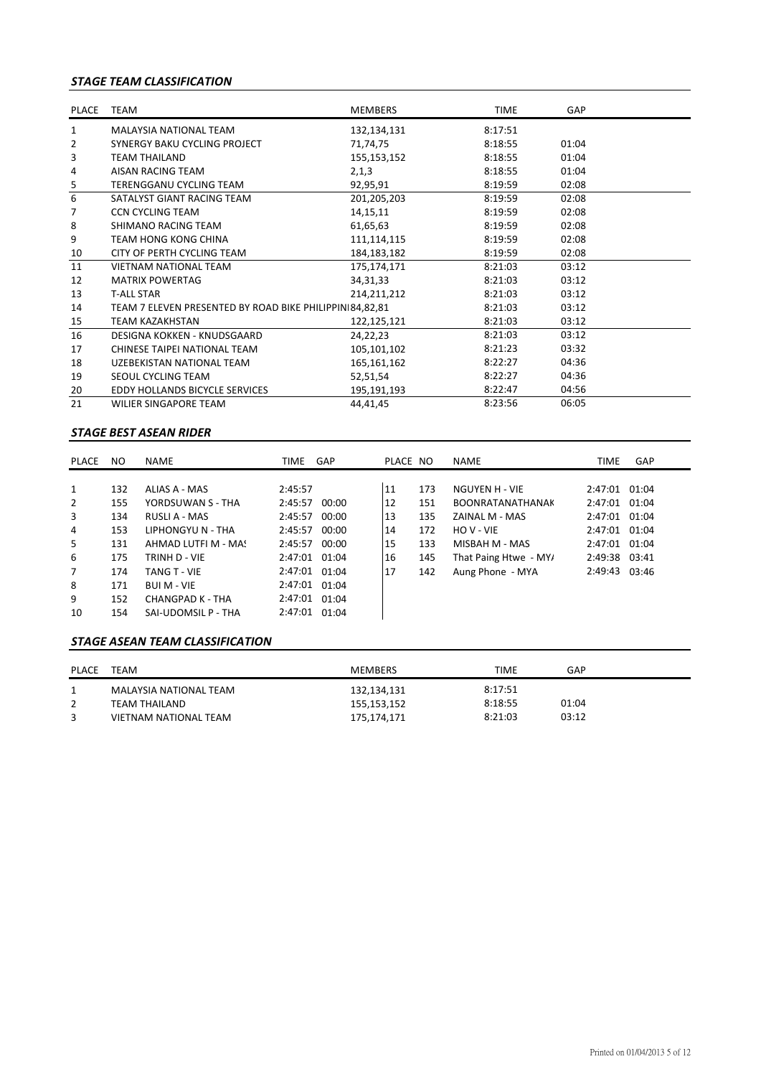## *STAGE TEAM CLASSIFICATION*

| PLACE                   | TEAM                                                    | <b>MEMBERS</b> | <b>TIME</b> | GAP   |  |
|-------------------------|---------------------------------------------------------|----------------|-------------|-------|--|
| $\mathbf{1}$            | <b>MALAYSIA NATIONAL TEAM</b>                           | 132,134,131    | 8:17:51     |       |  |
| 2                       | SYNERGY BAKU CYCLING PROJECT                            | 71,74,75       | 8:18:55     | 01:04 |  |
| 3                       | <b>TEAM THAILAND</b>                                    | 155,153,152    | 8:18:55     | 01:04 |  |
| 4                       | AISAN RACING TEAM                                       | 2,1,3          | 8:18:55     | 01:04 |  |
| $\overline{\mathbf{5}}$ | <b>TERENGGANU CYCLING TEAM</b>                          | 92,95,91       | 8:19:59     | 02:08 |  |
| 6                       | SATALYST GIANT RACING TEAM                              | 201,205,203    | 8:19:59     | 02:08 |  |
| 7                       | <b>CCN CYCLING TEAM</b>                                 | 14, 15, 11     | 8:19:59     | 02:08 |  |
| 8                       | SHIMANO RACING TEAM                                     | 61,65,63       | 8:19:59     | 02:08 |  |
| 9                       | <b>TEAM HONG KONG CHINA</b>                             | 111,114,115    | 8:19:59     | 02:08 |  |
| 10                      | CITY OF PERTH CYCLING TEAM                              | 184, 183, 182  | 8:19:59     | 02:08 |  |
| 11                      | <b>VIETNAM NATIONAL TEAM</b>                            | 175,174,171    | 8:21:03     | 03:12 |  |
| 12                      | <b>MATRIX POWERTAG</b>                                  | 34, 31, 33     | 8:21:03     | 03:12 |  |
| 13                      | <b>T-ALL STAR</b>                                       | 214,211,212    | 8:21:03     | 03:12 |  |
| 14                      | TEAM 7 ELEVEN PRESENTED BY ROAD BIKE PHILIPPIN 84,82,81 |                | 8:21:03     | 03:12 |  |
| 15                      | <b>TEAM KAZAKHSTAN</b>                                  | 122,125,121    | 8:21:03     | 03:12 |  |
| 16                      | DESIGNA KOKKEN - KNUDSGAARD                             | 24,22,23       | 8:21:03     | 03:12 |  |
| 17                      | CHINESE TAIPEI NATIONAL TEAM                            | 105,101,102    | 8:21:23     | 03:32 |  |
| 18                      | UZEBEKISTAN NATIONAL TEAM                               | 165,161,162    | 8:22:27     | 04:36 |  |
| 19                      | SEOUL CYCLING TEAM                                      | 52,51,54       | 8:22:27     | 04:36 |  |
| 20                      | EDDY HOLLANDS BICYCLE SERVICES                          | 195,191,193    | 8:22:47     | 04:56 |  |
| 21                      | <b>WILIER SINGAPORE TEAM</b>                            | 44,41,45       | 8:23:56     | 06:05 |  |

### *STAGE BEST ASEAN RIDER*

| PLACE          | NO. | <b>NAME</b>         | TIME          | GAP   | PLACE NO |     | NAME                    | <b>TIME</b>   | <b>GAP</b> |
|----------------|-----|---------------------|---------------|-------|----------|-----|-------------------------|---------------|------------|
|                |     |                     |               |       |          |     |                         |               |            |
| 1              | 132 | ALIAS A - MAS       | 2:45:57       |       | 11       | 173 | NGUYEN H - VIE          | 2:47:01 01:04 |            |
| $\overline{2}$ | 155 | YORDSUWAN S - THA   | 2:45:57       | 00:00 | 12       | 151 | <b>BOONRATANATHANAK</b> | 2:47:01 01:04 |            |
| 3              | 134 | RUSLI A - MAS       | 2:45:57       | 00:00 | 13       | 135 | ZAINAL M - MAS          | 2:47:01 01:04 |            |
| 4              | 153 | LIPHONGYU N - THA   | 2:45:57       | 00:00 | 14       | 172 | HO V - VIE              | 2:47:01 01:04 |            |
| 5              | 131 | AHMAD LUTFI M - MA! | 2:45:57       | 00:00 | 15       | 133 | MISBAH M - MAS          | 2:47:01 01:04 |            |
| 6              | 175 | TRINH D - VIE       | 2:47:01 01:04 |       | 16       | 145 | That Paing Htwe - MY/   | 2:49:38 03:41 |            |
| $\overline{7}$ | 174 | <b>TANG T - VIE</b> | 2:47:01 01:04 |       | 17       | 142 | Aung Phone - MYA        | 2:49:43 03:46 |            |
| 8              | 171 | <b>BUI M - VIE</b>  | 2:47:01 01:04 |       |          |     |                         |               |            |
| 9              | 152 | CHANGPAD K - THA    | 2:47:01 01:04 |       |          |     |                         |               |            |
| 10             | 154 | SAI-UDOMSIL P - THA | 2:47:01 01:04 |       |          |     |                         |               |            |

### *STAGE ASEAN TEAM CLASSIFICATION*

| <b>PLACE</b> | TEAM                   | MEMBERS     | <b>TIME</b> | GAP   |
|--------------|------------------------|-------------|-------------|-------|
|              | MALAYSIA NATIONAL TEAM | 132,134,131 | 8:17:51     |       |
|              | TEAM THAILAND          | 155,153,152 | 8:18:55     | 01:04 |
|              | VIETNAM NATIONAL TEAM  | 175,174,171 | 8:21:03     | 03:12 |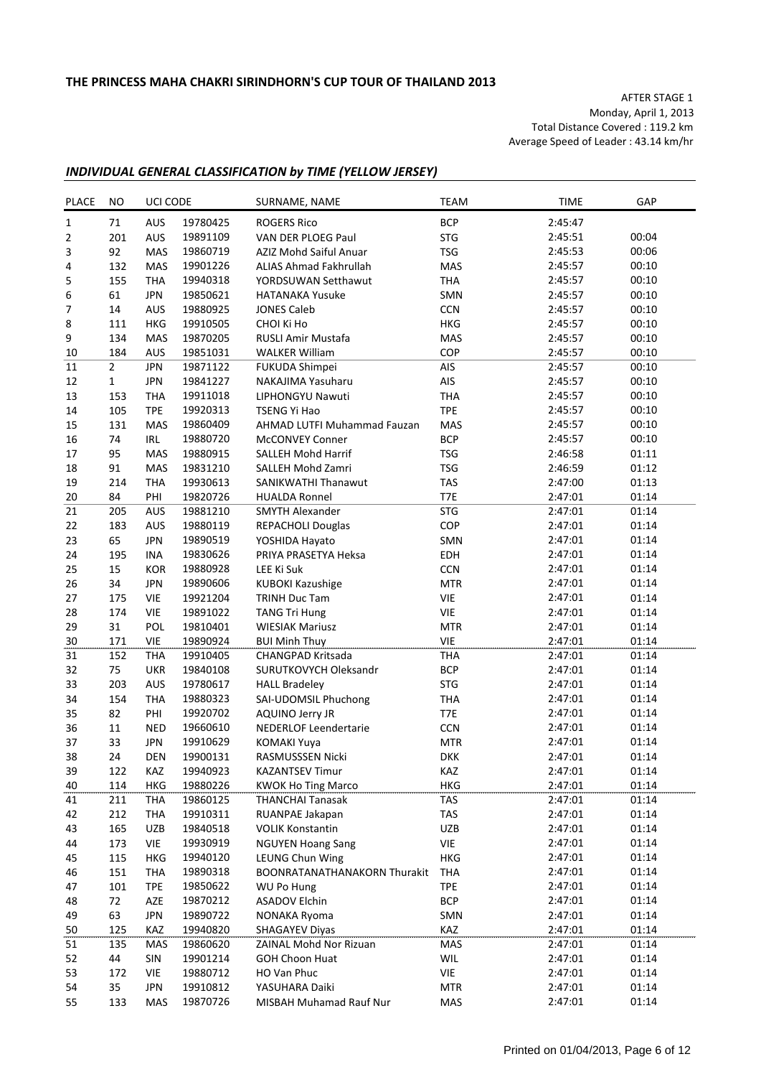AFTER STAGE 1 Monday, April 1, 2013 Total Distance Covered : 119.2 km Average Speed of Leader : 43.14 km/hr

## *INDIVIDUAL GENERAL CLASSIFICATION by TIME (YELLOW JERSEY)*

| <b>PLACE</b>     | NO             | UCI CODE<br>SURNAME, NAME |          |                              | <b>TEAM</b> | <b>TIME</b> | GAP   |
|------------------|----------------|---------------------------|----------|------------------------------|-------------|-------------|-------|
| $1\,$            | 71             | AUS                       | 19780425 | <b>ROGERS Rico</b>           | <b>BCP</b>  | 2:45:47     |       |
| $\overline{2}$   | 201            | AUS                       | 19891109 | VAN DER PLOEG Paul           | <b>STG</b>  | 2:45:51     | 00:04 |
| 3                | 92             | MAS                       | 19860719 | AZIZ Mohd Saiful Anuar       | <b>TSG</b>  | 2:45:53     | 00:06 |
| 4                | 132            | MAS                       | 19901226 | ALIAS Ahmad Fakhrullah       | MAS         | 2:45:57     | 00:10 |
| 5                | 155            | THA                       | 19940318 | YORDSUWAN Setthawut          | THA         | 2:45:57     | 00:10 |
| 6                | 61             | <b>JPN</b>                | 19850621 | <b>HATANAKA Yusuke</b>       | SMN         | 2:45:57     | 00:10 |
| $\boldsymbol{7}$ | 14             | AUS                       | 19880925 | <b>JONES Caleb</b>           | CCN         | 2:45:57     | 00:10 |
| 8                | 111            | <b>HKG</b>                | 19910505 | CHOI Ki Ho                   | <b>HKG</b>  | 2:45:57     | 00:10 |
| 9                | 134            | <b>MAS</b>                | 19870205 | <b>RUSLI Amir Mustafa</b>    | <b>MAS</b>  | 2:45:57     | 00:10 |
| 10               | 184            | <b>AUS</b>                | 19851031 | <b>WALKER William</b>        | COP         | 2:45:57     | 00:10 |
| 11               | $\overline{2}$ | <b>JPN</b>                | 19871122 | FUKUDA Shimpei               | AIS         | 2:45:57     | 00:10 |
| 12               | $\mathbf{1}$   | <b>JPN</b>                | 19841227 | NAKAJIMA Yasuharu            | AIS         | 2:45:57     | 00:10 |
| 13               | 153            | <b>THA</b>                | 19911018 | LIPHONGYU Nawuti             | <b>THA</b>  | 2:45:57     | 00:10 |
| 14               | 105            | <b>TPE</b>                | 19920313 | <b>TSENG Yi Hao</b>          | <b>TPE</b>  | 2:45:57     | 00:10 |
| 15               | 131            | MAS                       | 19860409 | AHMAD LUTFI Muhammad Fauzan  | <b>MAS</b>  | 2:45:57     | 00:10 |
| 16               | 74             | IRL                       | 19880720 | <b>McCONVEY Conner</b>       | <b>BCP</b>  | 2:45:57     | 00:10 |
| 17               | 95             | MAS                       | 19880915 | <b>SALLEH Mohd Harrif</b>    | <b>TSG</b>  | 2:46:58     | 01:11 |
| 18               | 91             | <b>MAS</b>                | 19831210 | <b>SALLEH Mohd Zamri</b>     | <b>TSG</b>  | 2:46:59     | 01:12 |
| 19               | 214            | THA                       | 19930613 | SANIKWATHI Thanawut          | <b>TAS</b>  | 2:47:00     | 01:13 |
| 20               | 84             | PHI                       | 19820726 | <b>HUALDA Ronnel</b>         | T7E         | 2:47:01     | 01:14 |
| 21               | 205            | AUS                       | 19881210 | <b>SMYTH Alexander</b>       | <b>STG</b>  | 2:47:01     | 01:14 |
| 22               | 183            | AUS                       | 19880119 | REPACHOLI Douglas            | COP         | 2:47:01     | 01:14 |
| 23               | 65             | <b>JPN</b>                | 19890519 | YOSHIDA Hayato               | SMN         | 2:47:01     | 01:14 |
| 24               | 195            | INA                       | 19830626 | PRIYA PRASETYA Heksa         | EDH         | 2:47:01     | 01:14 |
| 25               | 15             | <b>KOR</b>                | 19880928 | LEE Ki Suk                   | <b>CCN</b>  | 2:47:01     | 01:14 |
| 26               | 34             | <b>JPN</b>                | 19890606 | <b>KUBOKI Kazushige</b>      | <b>MTR</b>  | 2:47:01     | 01:14 |
| 27               | 175            | <b>VIE</b>                | 19921204 | <b>TRINH Duc Tam</b>         | VIE         | 2:47:01     | 01:14 |
| 28               | 174            | <b>VIE</b>                | 19891022 | <b>TANG Tri Hung</b>         | <b>VIE</b>  | 2:47:01     | 01:14 |
| 29               | 31             | POL                       | 19810401 | <b>WIESIAK Mariusz</b>       | <b>MTR</b>  | 2:47:01     | 01:14 |
| 30               | 171            | <b>VIE</b>                | 19890924 | <b>BUI Minh Thuy</b>         | <b>VIE</b>  | 2:47:01     | 01:14 |
| 31               | 152            | <b>THA</b>                | 19910405 | <b>CHANGPAD Kritsada</b>     | <b>THA</b>  | 2:47:01     | 01:14 |
| 32               | 75             | <b>UKR</b>                | 19840108 | SURUTKOVYCH Oleksandr        | <b>BCP</b>  | 2:47:01     | 01:14 |
| 33               | 203            | AUS                       | 19780617 | <b>HALL Bradeley</b>         | <b>STG</b>  | 2:47:01     | 01:14 |
| 34               | 154            | <b>THA</b>                | 19880323 | SAI-UDOMSIL Phuchong         | <b>THA</b>  | 2:47:01     | 01:14 |
| 35               | 82             | PHI                       | 19920702 | AQUINO Jerry JR              | T7E         | 2:47:01     | 01:14 |
| 36               | 11             | <b>NED</b>                | 19660610 | NEDERLOF Leendertarie        | <b>CCN</b>  | 2:47:01     | 01:14 |
| 37               | 33             | <b>JPN</b>                | 19910629 | <b>KOMAKI Yuya</b>           | <b>MTR</b>  | 2:47:01     | 01:14 |
| 38               | 24             | DEN                       | 19900131 | RASMUSSSEN Nicki             | <b>DKK</b>  | 2:47:01     | 01:14 |
| 39               | 122            | KAZ                       | 19940923 | <b>KAZANTSEV Timur</b>       | KAZ         | 2:47:01     | 01:14 |
| 40               | 114            | HKG                       | 19880226 | <b>KWOK Ho Ting Marco</b>    | HKG         | 2:47:01     | 01:14 |
| 41               | 211            | THA                       | 19860125 | <b>THANCHAI Tanasak</b>      | TAS         | 2:47:01     | 01:14 |
| 42               | 212            | <b>THA</b>                | 19910311 | RUANPAE Jakapan              | TAS         | 2:47:01     | 01:14 |
| 43               | 165            | <b>UZB</b>                | 19840518 | <b>VOLIK Konstantin</b>      | UZB         | 2:47:01     | 01:14 |
| 44               | 173            | VIE                       | 19930919 | <b>NGUYEN Hoang Sang</b>     | VIE         | 2:47:01     | 01:14 |
| 45               | 115            | <b>HKG</b>                | 19940120 | LEUNG Chun Wing              | <b>HKG</b>  | 2:47:01     | 01:14 |
| 46               | 151            | <b>THA</b>                | 19890318 | BOONRATANATHANAKORN Thurakit | THA         | 2:47:01     | 01:14 |
| 47               | 101            | <b>TPE</b>                | 19850622 | <b>WU Po Hung</b>            | <b>TPE</b>  | 2:47:01     | 01:14 |
| 48               | 72             | AZE                       | 19870212 | <b>ASADOV Elchin</b>         | <b>BCP</b>  | 2:47:01     | 01:14 |
| 49               | 63             | <b>JPN</b>                | 19890722 | NONAKA Ryoma                 | SMN         | 2:47:01     | 01:14 |
| 50               | 125            | KAZ                       | 19940820 | <b>SHAGAYEV Diyas</b>        | KAZ         | 2:47:01     | 01:14 |
| 51               | 135            | MAS                       | 19860620 | ZAINAL Mohd Nor Rizuan       | MAS         | 2:47:01     | 01:14 |
| 52               | 44             | <b>SIN</b>                | 19901214 | <b>GOH Choon Huat</b>        | WIL         | 2:47:01     | 01:14 |
| 53               | 172            | <b>VIE</b>                | 19880712 | HO Van Phuc                  | VIE         | 2:47:01     | 01:14 |
| 54               | 35             | <b>JPN</b>                | 19910812 | YASUHARA Daiki               | <b>MTR</b>  | 2:47:01     | 01:14 |
| 55               | 133            | MAS                       | 19870726 | MISBAH Muhamad Rauf Nur      | MAS         | 2:47:01     | 01:14 |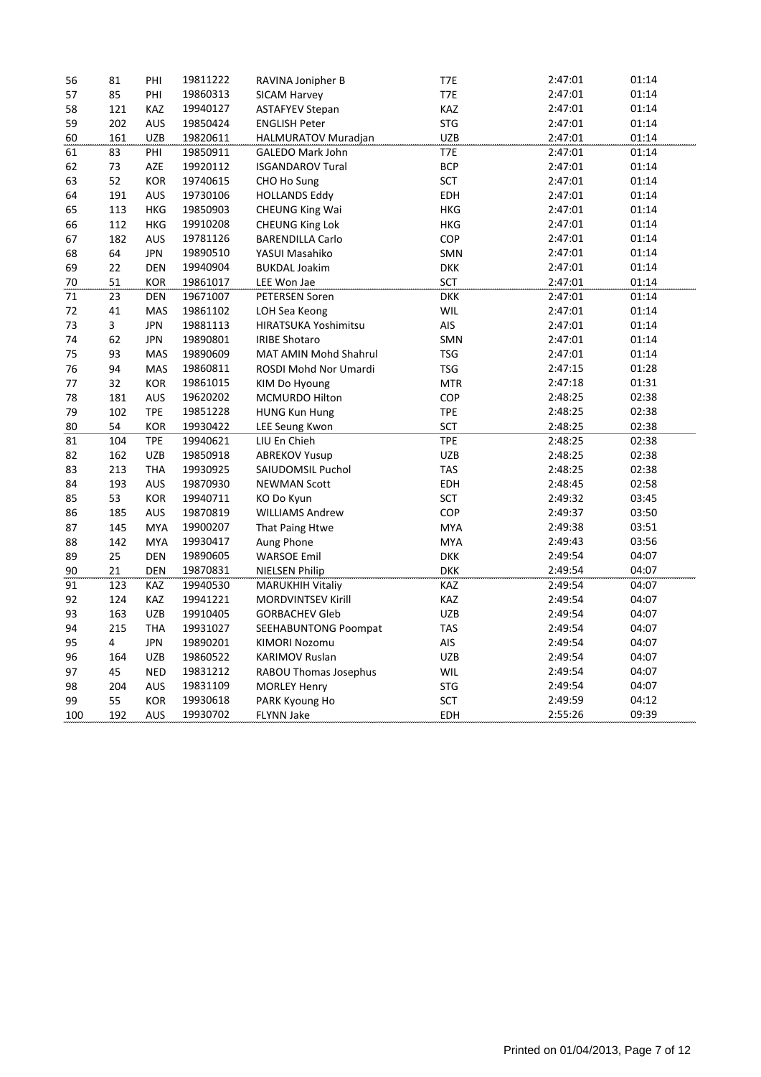| 56  | 81  | PHI        | 19811222 | RAVINA Jonipher B            | T7E        | 2:47:01 | 01:14 |
|-----|-----|------------|----------|------------------------------|------------|---------|-------|
| 57  | 85  | PHI        | 19860313 | SICAM Harvey                 | T7E        | 2:47:01 | 01:14 |
| 58  | 121 | KAZ        | 19940127 | <b>ASTAFYEV Stepan</b>       | KAZ        | 2:47:01 | 01:14 |
| 59  | 202 | <b>AUS</b> | 19850424 | <b>ENGLISH Peter</b>         | <b>STG</b> | 2:47:01 | 01:14 |
| 60  | 161 | <b>UZB</b> | 19820611 | HALMURATOV Muradjan          | <b>UZB</b> | 2:47:01 | 01:14 |
| 61  | 83  | PHI        | 19850911 | <b>GALEDO Mark John</b>      | T7E        | 2:47:01 | 01:14 |
| 62  | 73  | AZE        | 19920112 | <b>ISGANDAROV Tural</b>      | <b>BCP</b> | 2:47:01 | 01:14 |
| 63  | 52  | <b>KOR</b> | 19740615 | CHO Ho Sung                  | <b>SCT</b> | 2:47:01 | 01:14 |
| 64  | 191 | AUS        | 19730106 | <b>HOLLANDS Eddy</b>         | EDH        | 2:47:01 | 01:14 |
| 65  | 113 | HKG        | 19850903 | CHEUNG King Wai              | <b>HKG</b> | 2:47:01 | 01:14 |
| 66  | 112 | HKG        | 19910208 | <b>CHEUNG King Lok</b>       | HKG        | 2:47:01 | 01:14 |
| 67  | 182 | AUS        | 19781126 | <b>BARENDILLA Carlo</b>      | COP        | 2:47:01 | 01:14 |
| 68  | 64  | <b>JPN</b> | 19890510 | YASUI Masahiko               | SMN        | 2:47:01 | 01:14 |
| 69  | 22  | <b>DEN</b> | 19940904 | <b>BUKDAL Joakim</b>         | <b>DKK</b> | 2:47:01 | 01:14 |
| 70  | 51  | KOR        | 19861017 | LEE Won Jae                  | SCT        | 2:47:01 | 01:14 |
| 71  | 23  | <b>DEN</b> | 19671007 | PETERSEN Soren               | <b>DKK</b> | 2:47:01 | 01:14 |
| 72  | 41  | <b>MAS</b> | 19861102 | LOH Sea Keong                | WIL        | 2:47:01 | 01:14 |
| 73  | 3   | <b>JPN</b> | 19881113 | <b>HIRATSUKA Yoshimitsu</b>  | AIS        | 2:47:01 | 01:14 |
| 74  | 62  | <b>JPN</b> | 19890801 | <b>IRIBE Shotaro</b>         | SMN        | 2:47:01 | 01:14 |
| 75  | 93  | MAS        | 19890609 | MAT AMIN Mohd Shahrul        | <b>TSG</b> | 2:47:01 | 01:14 |
| 76  | 94  | MAS        | 19860811 | ROSDI Mohd Nor Umardi        | <b>TSG</b> | 2:47:15 | 01:28 |
| 77  | 32  | KOR        | 19861015 | KIM Do Hyoung                | <b>MTR</b> | 2:47:18 | 01:31 |
| 78  | 181 | AUS        | 19620202 | MCMURDO Hilton               | COP        | 2:48:25 | 02:38 |
| 79  | 102 | <b>TPE</b> | 19851228 | <b>HUNG Kun Hung</b>         | <b>TPE</b> | 2:48:25 | 02:38 |
| 80  | 54  | <b>KOR</b> | 19930422 | LEE Seung Kwon               | SCT        | 2:48:25 | 02:38 |
| 81  | 104 | <b>TPE</b> | 19940621 | LIU En Chieh                 | <b>TPE</b> | 2:48:25 | 02:38 |
| 82  | 162 | <b>UZB</b> | 19850918 | <b>ABREKOV Yusup</b>         | <b>UZB</b> | 2:48:25 | 02:38 |
| 83  | 213 | <b>THA</b> | 19930925 | SAIUDOMSIL Puchol            | <b>TAS</b> | 2:48:25 | 02:38 |
| 84  | 193 | AUS        | 19870930 | <b>NEWMAN Scott</b>          | EDH        | 2:48:45 | 02:58 |
| 85  | 53  | <b>KOR</b> | 19940711 | KO Do Kyun                   | SCT        | 2:49:32 | 03:45 |
| 86  | 185 | AUS        | 19870819 | <b>WILLIAMS Andrew</b>       | COP        | 2:49:37 | 03:50 |
| 87  | 145 | <b>MYA</b> | 19900207 | That Paing Htwe              | <b>MYA</b> | 2:49:38 | 03:51 |
| 88  | 142 | <b>MYA</b> | 19930417 | Aung Phone                   | <b>MYA</b> | 2:49:43 | 03:56 |
| 89  | 25  | DEN        | 19890605 | <b>WARSOE Emil</b>           | <b>DKK</b> | 2:49:54 | 04:07 |
| 90  | 21  | <b>DEN</b> | 19870831 | <b>NIELSEN Philip</b>        | <b>DKK</b> | 2:49:54 | 04:07 |
| 91  | 123 | KAZ        | 19940530 | <b>MARUKHIH Vitaliy</b>      | KAZ        | 2:49:54 | 04:07 |
| 92  | 124 | KAZ        | 19941221 | <b>MORDVINTSEV Kirill</b>    | KAZ        | 2:49:54 | 04:07 |
| 93  | 163 | <b>UZB</b> | 19910405 | <b>GORBACHEV Gleb</b>        | <b>UZB</b> | 2:49:54 | 04:07 |
| 94  | 215 | <b>THA</b> | 19931027 | SEEHABUNTONG Poompat         | <b>TAS</b> | 2:49:54 | 04:07 |
| 95  | 4   | <b>JPN</b> | 19890201 | <b>KIMORI Nozomu</b>         | AIS        | 2:49:54 | 04:07 |
| 96  | 164 | <b>UZB</b> | 19860522 | <b>KARIMOV Ruslan</b>        | <b>UZB</b> | 2:49:54 | 04:07 |
| 97  | 45  | <b>NED</b> | 19831212 | <b>RABOU Thomas Josephus</b> | WIL        | 2:49:54 | 04:07 |
| 98  | 204 | <b>AUS</b> | 19831109 | <b>MORLEY Henry</b>          | <b>STG</b> | 2:49:54 | 04:07 |
| 99  | 55  | KOR        | 19930618 | PARK Kyoung Ho               | <b>SCT</b> | 2:49:59 | 04:12 |
| 100 | 192 | <b>AUS</b> | 19930702 | <b>FLYNN Jake</b>            | <b>EDH</b> | 2:55:26 | 09:39 |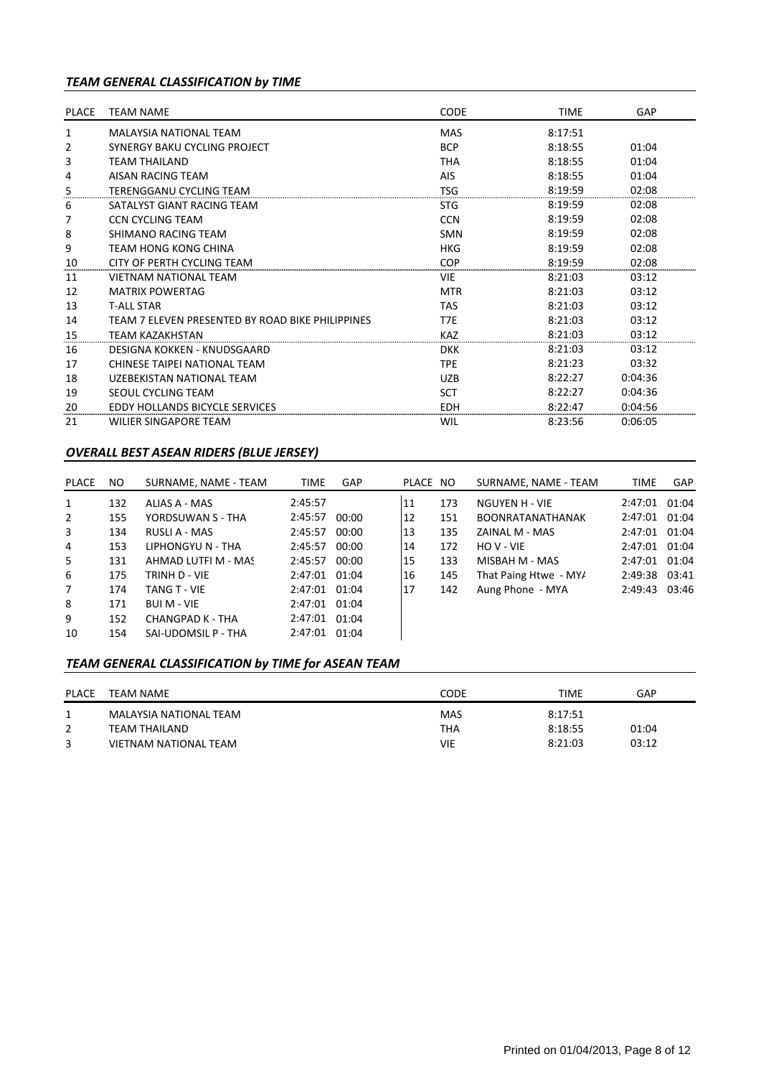## *TEAM GENERAL CLASSIFICATION by TIME*

| <b>PLACE</b> | <b>TEAM NAME</b>                                 | CODE       | <b>TIME</b> | GAP     |  |
|--------------|--------------------------------------------------|------------|-------------|---------|--|
| 1            | MAI AYSIA NATIONAI TFAM                          | <b>MAS</b> | 8:17:51     |         |  |
| 2            | SYNERGY BAKU CYCLING PROJECT                     | <b>BCP</b> | 8:18:55     | 01:04   |  |
| 3            | <b>TEAM THAILAND</b>                             | <b>THA</b> | 8:18:55     | 01:04   |  |
| 4            | AISAN RACING TFAM                                | <b>AIS</b> | 8:18:55     | 01:04   |  |
| 5            | TERENGGANU CYCLING TEAM                          | <b>TSG</b> | 8:19:59     | 02:08   |  |
| 6            | SATALYST GIANT RACING TEAM                       | <b>STG</b> | 8:19:59     | 02:08   |  |
| 7            | <b>CCN CYCLING TEAM</b>                          | <b>CCN</b> | 8:19:59     | 02:08   |  |
| 8            | SHIMANO RACING TEAM                              | <b>SMN</b> | 8:19:59     | 02:08   |  |
| 9            | TEAM HONG KONG CHINA                             | <b>HKG</b> | 8:19:59     | 02:08   |  |
| 10           | CITY OF PERTH CYCLING TEAM                       | <b>COP</b> | 8:19:59     | 02:08   |  |
| 11           | <b>VIFTNAM NATIONAL TFAM</b>                     | <b>VIE</b> | 8:21:03     | 03:12   |  |
| 12           | <b>MATRIX POWERTAG</b>                           | <b>MTR</b> | 8:21:03     | 03:12   |  |
| 13           | <b>T-ALL STAR</b>                                | <b>TAS</b> | 8:21:03     | 03:12   |  |
| 14           | TEAM 7 FLEVEN PRESENTED BY ROAD BIKE PHILIPPINES | T7E        | 8:21:03     | 03:12   |  |
| 15           | <b>TEAM KAZAKHSTAN</b>                           | <b>KAZ</b> | 8:21:03     | 03:12   |  |
| 16           | DESIGNA KOKKEN - KNUDSGAARD                      | <b>DKK</b> | 8:21:03     | 03:12   |  |
| 17           | CHINESE TAIPEI NATIONAL TEAM                     | <b>TPE</b> | 8:21:23     | 03:32   |  |
| 18           | UZEBEKISTAN NATIONAL TEAM                        | <b>UZB</b> | 8:22:27     | 0:04:36 |  |
| 19           | SEOUL CYCLING TEAM                               | <b>SCT</b> | 8:22:27     | 0:04:36 |  |
| 20           | <b>EDDY HOLLANDS BICYCLE SERVICES</b>            | <b>EDH</b> | 8:22:47     | 0:04:56 |  |
| 21           | <b>WILIER SINGAPORE TEAM</b>                     | WIL        | 8:23:56     | 0:06:05 |  |

## *OVERALL BEST ASEAN RIDERS (BLUE JERSEY)*

| PLACE          | NO. | SURNAME, NAME - TEAM | <b>TIME</b>   | <b>GAP</b> | PLACE NO |     | SURNAME, NAME - TEAM    | <b>TIME</b>   | GAP   |
|----------------|-----|----------------------|---------------|------------|----------|-----|-------------------------|---------------|-------|
| 1              | 132 | ALIAS A - MAS        | 2:45:57       |            | 11       | 173 | NGUYEN H - VIE          | 2:47:01 01:04 |       |
| 2              | 155 | YORDSUWAN S - THA    | 2:45:57       | 00:00      | 12       | 151 | <b>BOONRATANATHANAK</b> | 2:47:01 01:04 |       |
| 3              | 134 | RUSLI A - MAS        | 2:45:57       | 00:00      | 13       | 135 | ZAINAL M - MAS          | 2:47:01 01:04 |       |
| 4              | 153 | LIPHONGYU N - THA    | 2:45:57       | 00:00      | 14       | 172 | HO V - VIE              | 2:47:01 01:04 |       |
| 5              | 131 | AHMAD LUTFI M - MAS  | 2:45:57       | 00:00      | 15       | 133 | MISBAH M - MAS          | 2:47:01       | 01:04 |
| 6              | 175 | TRINH D - VIE        | 2:47:01 01:04 |            | 16       | 145 | That Paing Htwe - MY/   | 2:49:38 03:41 |       |
| $\overline{7}$ | 174 | TANG T - VIE         | 2:47:01 01:04 |            | 17       | 142 | Aung Phone - MYA        | 2:49:43       | 03:46 |
| 8              | 171 | <b>BUI M - VIE</b>   | 2:47:01       | 01:04      |          |     |                         |               |       |
| 9              | 152 | CHANGPAD K - THA     | 2:47:01       | 01:04      |          |     |                         |               |       |
| 10             | 154 | SAI-UDOMSIL P - THA  | 2:47:01       | 01:04      |          |     |                         |               |       |

## *TEAM GENERAL CLASSIFICATION by TIME for ASEAN TEAM*

| <b>PLACE</b> | TEAM NAME              | CODE       | TIME    | GAP   |
|--------------|------------------------|------------|---------|-------|
|              | MALAYSIA NATIONAL TEAM | <b>MAS</b> | 8:17:51 |       |
|              | <b>TEAM THAILAND</b>   | ТНА        | 8:18:55 | 01:04 |
|              | VIETNAM NATIONAL TEAM  | VIE        | 8:21:03 | 03:12 |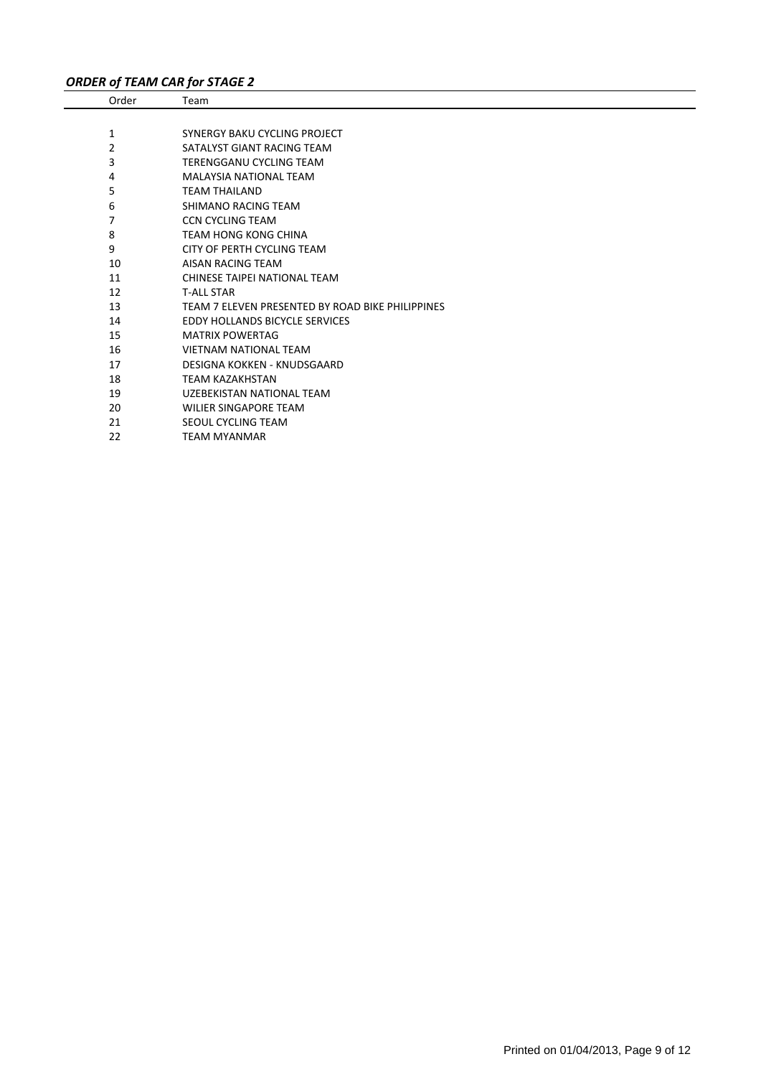# *ORDER of TEAM CAR for STAGE 2*

| Order | Team                                             |
|-------|--------------------------------------------------|
|       |                                                  |
| 1     | SYNERGY BAKU CYCLING PROJECT                     |
| 2     | SATALYST GIANT RACING TEAM                       |
| 3     | TERENGGANU CYCLING TEAM                          |
| 4     | <b>MALAYSIA NATIONAL TEAM</b>                    |
| 5     | <b>TEAM THAILAND</b>                             |
| 6     | SHIMANO RACING TEAM                              |
| 7     | <b>CCN CYCLING TEAM</b>                          |
| 8     | <b>TEAM HONG KONG CHINA</b>                      |
| 9     | CITY OF PERTH CYCLING TEAM                       |
| 10    | AISAN RACING TEAM                                |
| 11    | CHINESE TAIPEI NATIONAL TEAM                     |
| 12    | <b>T-ALL STAR</b>                                |
| 13    | TEAM 7 ELEVEN PRESENTED BY ROAD BIKE PHILIPPINES |
| 14    | <b>EDDY HOLLANDS BICYCLE SERVICES</b>            |
| 15    | <b>MATRIX POWERTAG</b>                           |
| 16    | <b>VIETNAM NATIONAL TEAM</b>                     |
| 17    | DESIGNA KOKKEN - KNUDSGAARD                      |
| 18    | <b>TEAM KAZAKHSTAN</b>                           |
| 19    | UZEBEKISTAN NATIONAL TEAM                        |
| 20    | WILIER SINGAPORE TEAM                            |
| 21    | SEOUL CYCLING TEAM                               |
| 22    | <b>TEAM MYANMAR</b>                              |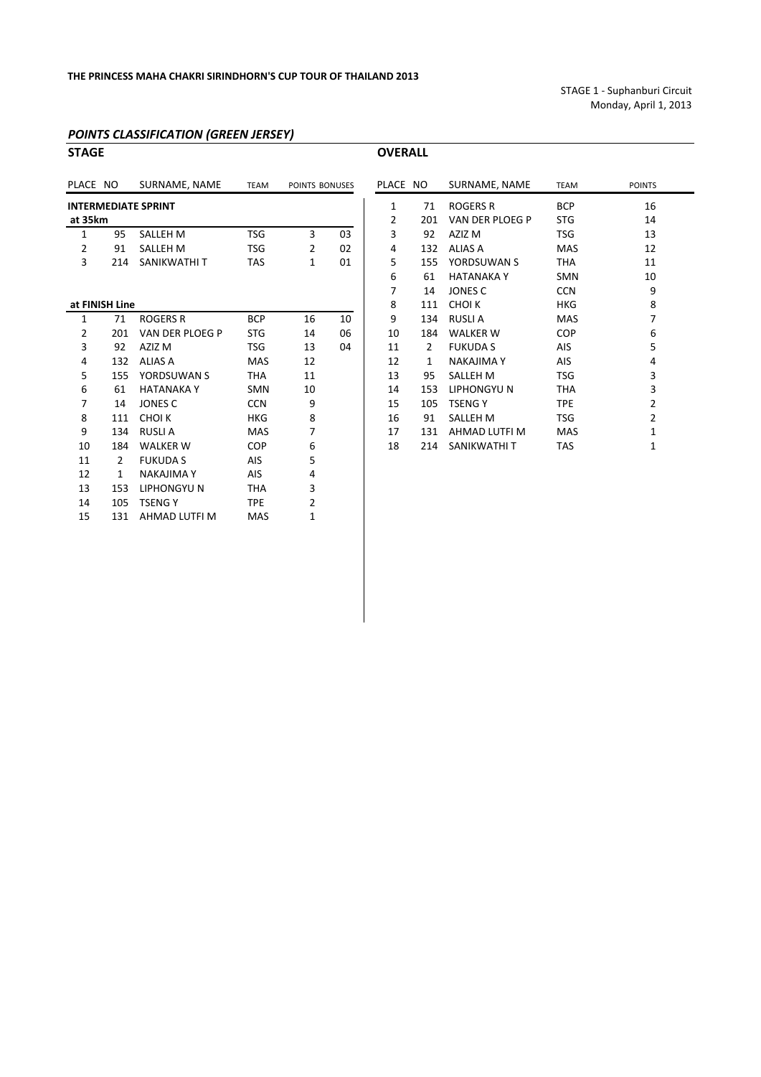STAGE 1 ‐ Suphanburi Circuit Monday, April 1, 2013

#### *POINTS CLASSIFICATION (GREEN JERSEY)*

| <b>STAGE</b> |                |                            |             |                |    | <b>OVERALL</b> |     |                   |             |                         |
|--------------|----------------|----------------------------|-------------|----------------|----|----------------|-----|-------------------|-------------|-------------------------|
| PLACE NO     |                | SURNAME, NAME              | <b>TEAM</b> | POINTS BONUSES |    | PLACE NO       |     | SURNAME, NAME     | <b>TEAM</b> | POINTS                  |
|              |                | <b>INTERMEDIATE SPRINT</b> |             |                |    | 1              | 71  | <b>ROGERS R</b>   | <b>BCP</b>  | 16                      |
| at 35km      |                |                            |             |                |    | 2              | 201 | VAN DER PLOEG P   | <b>STG</b>  | 14                      |
| 1            | 95             | <b>SALLEH M</b>            | <b>TSG</b>  | 3              | 03 | 3              | 92  | AZIZ M            | TSG         | 13                      |
| 2            | 91             | <b>SALLEH M</b>            | <b>TSG</b>  | $\overline{2}$ | 02 | 4              | 132 | <b>ALIAS A</b>    | <b>MAS</b>  | 12                      |
| 3            | 214            | SANIKWATHI T               | <b>TAS</b>  | $\mathbf{1}$   | 01 | 5              | 155 | YORDSUWAN S       | <b>THA</b>  | 11                      |
|              |                |                            |             |                |    | 6              | 61  | <b>HATANAKAY</b>  | <b>SMN</b>  | 10                      |
|              |                |                            |             |                |    | 7              | 14  | JONES C           | <b>CCN</b>  | 9                       |
|              | at FINISH Line |                            |             |                |    | 8              | 111 | <b>CHOIK</b>      | <b>HKG</b>  | 8                       |
| 1            | 71             | <b>ROGERS R</b>            | <b>BCP</b>  | 16             | 10 | 9              | 134 | <b>RUSLIA</b>     | <b>MAS</b>  | 7                       |
| 2            | 201            | VAN DER PLOEG P            | <b>STG</b>  | 14             | 06 | 10             | 184 | <b>WALKER W</b>   | COP         | 6                       |
| 3            | 92             | AZIZ M                     | <b>TSG</b>  | 13             | 04 | 11             | 2   | <b>FUKUDA S</b>   | <b>AIS</b>  | 5                       |
| 4            | 132            | <b>ALIAS A</b>             | <b>MAS</b>  | 12             |    | 12             | 1   | <b>NAKAJIMA Y</b> | <b>AIS</b>  | 4                       |
| 5            | 155            | YORDSUWAN S                | <b>THA</b>  | 11             |    | 13             | 95  | <b>SALLEH M</b>   | <b>TSG</b>  | 3                       |
| 6            | 61             | <b>HATANAKA Y</b>          | <b>SMN</b>  | 10             |    | 14             | 153 | <b>LIPHONGYUN</b> | <b>THA</b>  | 3                       |
| 7            | 14             | <b>JONES C</b>             | <b>CCN</b>  | 9              |    | 15             | 105 | <b>TSENGY</b>     | <b>TPE</b>  | $\overline{\mathbf{c}}$ |
| 8            | 111            | CHOI K                     | <b>HKG</b>  | 8              |    | 16             | 91  | <b>SALLEH M</b>   | <b>TSG</b>  | $\overline{\mathbf{c}}$ |
| 9            | 134            | <b>RUSLIA</b>              | <b>MAS</b>  | 7              |    | 17             | 131 | AHMAD LUTFI M     | <b>MAS</b>  | 1                       |
| 10           | 184            | <b>WALKER W</b>            | COP         | 6              |    | 18             | 214 | SANIKWATHI T      | <b>TAS</b>  | $\mathbf{1}$            |
| 11           | $\overline{2}$ | <b>FUKUDA S</b>            | AIS         | 5              |    |                |     |                   |             |                         |
| 12           | $\mathbf{1}$   | <b>NAKAJIMA Y</b>          | AIS         | 4              |    |                |     |                   |             |                         |
| 13           | 153            | <b>LIPHONGYUN</b>          | <b>THA</b>  | 3              |    |                |     |                   |             |                         |
| 14           | 105            | <b>TSENGY</b>              | <b>TPE</b>  | 2              |    |                |     |                   |             |                         |
| 15           | 131            | AHMAD LUTFI M              | <b>MAS</b>  | $\mathbf{1}$   |    |                |     |                   |             |                         |

|                    | ACE NO                  | SURNAME, NAME     | <b>TEAM</b> | POINTS BONUSES |     | PLACE NO     |              | SURNAME, NAME     | <b>TEAM</b> | <b>POINTS</b>  |
|--------------------|-------------------------|-------------------|-------------|----------------|-----|--------------|--------------|-------------------|-------------|----------------|
|                    | <b>ERMEDIATE SPRINT</b> |                   |             |                |     |              | 71           | <b>ROGERS R</b>   | <b>BCP</b>  | 16             |
| 35km               |                         |                   |             |                |     | 2            | 201          | VAN DER PLOEG P   | <b>STG</b>  | 14             |
| 1                  | 95                      | <b>SALLEH M</b>   | <b>TSG</b>  | 3              | 03  | 3            | 92           | AZIZ M            | <b>TSG</b>  | 13             |
| 2                  | 91                      | <b>SALLEH M</b>   | <b>TSG</b>  | 2              | 02  | 4            | 132          | <b>ALIAS A</b>    | <b>MAS</b>  | 12             |
| 3                  | 214                     | SANIKWATHI T      | <b>TAS</b>  | $\mathbf 1$    | 01  | 5            | 155          | YORDSUWAN S       | <b>THA</b>  | 11             |
|                    |                         |                   |             |                |     | 6            | 61           | <b>HATANAKA Y</b> | <b>SMN</b>  | 10             |
|                    |                         |                   |             |                |     | 7            | 14           | JONES C           | <b>CCN</b>  | 9              |
| <b>FINISH Line</b> |                         |                   |             | 8              | 111 | <b>CHOIK</b> | <b>HKG</b>   | 8                 |             |                |
| 1                  | 71                      | <b>ROGERS R</b>   | <b>BCP</b>  | 16             | 10  | 9            | 134          | <b>RUSLIA</b>     | <b>MAS</b>  | 7              |
| 2                  | 201                     | VAN DER PLOEG P   | <b>STG</b>  | 14             | 06  | 10           | 184          | <b>WALKER W</b>   | COP         | 6              |
| 3                  | 92                      | AZIZ M            | <b>TSG</b>  | 13             | 04  | 11           | 2            | <b>FUKUDA S</b>   | <b>AIS</b>  | 5              |
| 4                  | 132                     | <b>ALIAS A</b>    | <b>MAS</b>  | 12             |     | 12           | $\mathbf{1}$ | <b>NAKAJIMA Y</b> | <b>AIS</b>  | 4              |
| 5                  | 155                     | YORDSUWAN S       | <b>THA</b>  | 11             |     | 13           | 95           | <b>SALLEH M</b>   | <b>TSG</b>  | 3              |
| 6                  | 61                      | <b>HATANAKA Y</b> | <b>SMN</b>  | 10             |     | 14           | 153          | <b>LIPHONGYUN</b> | <b>THA</b>  | 3              |
| 7                  | 14                      | JONES C           | <b>CCN</b>  | 9              |     | 15           | 105          | <b>TSENGY</b>     | <b>TPE</b>  | 2              |
| 8                  | 111                     | <b>CHOIK</b>      | <b>HKG</b>  | 8              |     | 16           | 91           | <b>SALLEH M</b>   | <b>TSG</b>  | $\overline{2}$ |
| 9                  | 134                     | <b>RUSLIA</b>     | <b>MAS</b>  | 7              |     | 17           | 131          | AHMAD LUTFI M     | <b>MAS</b>  |                |
| LO.                | 184                     | <b>WALKER W</b>   | <b>COP</b>  | 6              |     | 18           | 214          | SANIKWATHI T      | <b>TAS</b>  |                |
|                    |                         |                   |             |                |     |              |              |                   |             |                |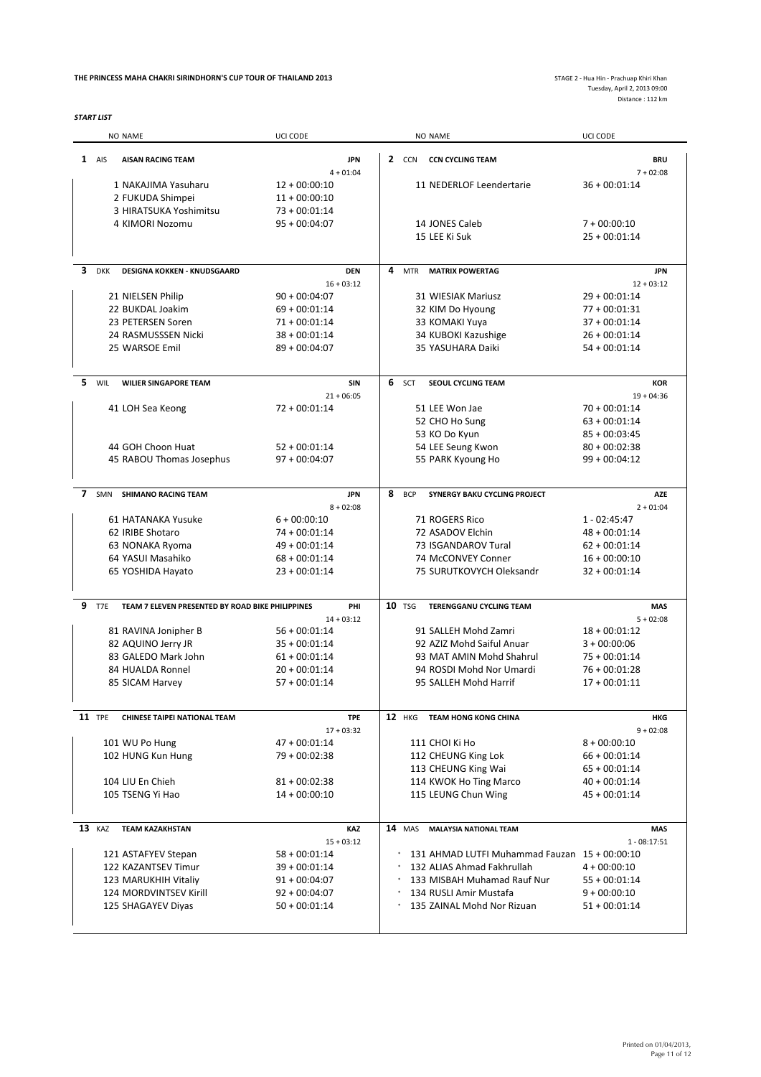#### **THE PRINCESS MAHA CHAKRI SIRINDHORN'S CUP TOUR OF THAILAND 2013**

*START LIST*

|                |               | NO NAME                                          | UCI CODE                           |   |               | NO NAME                                        | UCI CODE                           |
|----------------|---------------|--------------------------------------------------|------------------------------------|---|---------------|------------------------------------------------|------------------------------------|
|                | $1$ AIS       | <b>AISAN RACING TEAM</b>                         | <b>JPN</b>                         |   | 2 CCN         | <b>CCN CYCLING TEAM</b>                        | <b>BRU</b>                         |
|                |               |                                                  | $4 + 01:04$                        |   |               |                                                | $7 + 02:08$                        |
|                |               | 1 NAKAJIMA Yasuharu                              | $12 + 00:00:10$                    |   |               | 11 NEDERLOF Leendertarie                       | $36 + 00:01:14$                    |
|                |               | 2 FUKUDA Shimpei                                 | $11 + 00:00:10$                    |   |               |                                                |                                    |
|                |               | 3 HIRATSUKA Yoshimitsu                           | $73 + 00:01:14$                    |   |               |                                                |                                    |
|                |               | 4 KIMORI Nozomu                                  | $95 + 00:04:07$                    |   |               | 14 JONES Caleb                                 | $7 + 00:00:10$                     |
|                |               |                                                  |                                    |   |               | 15 LEE Ki Suk                                  | $25 + 00:01:14$                    |
| 3              | <b>DKK</b>    | <b>DESIGNA KOKKEN - KNUDSGAARD</b>               | <b>DEN</b>                         | 4 | <b>MTR</b>    | <b>MATRIX POWERTAG</b>                         | <b>JPN</b>                         |
|                |               |                                                  | $16 + 03:12$                       |   |               |                                                | $12 + 03:12$                       |
|                |               | 21 NIELSEN Philip                                | $90 + 00:04:07$                    |   |               | <b>31 WIESIAK Mariusz</b>                      | $29 + 00:01:14$                    |
|                |               | 22 BUKDAL Joakim                                 | $69 + 00:01:14$                    |   |               | 32 KIM Do Hyoung                               | $77 + 00:01:31$                    |
|                |               | 23 PETERSEN Soren                                | $71 + 00:01:14$                    |   |               | 33 KOMAKI Yuya                                 | $37 + 00:01:14$                    |
|                |               | 24 RASMUSSSEN Nicki                              | $38 + 00:01:14$                    |   |               | 34 KUBOKI Kazushige                            | $26 + 00:01:14$                    |
|                |               | 25 WARSOE Emil                                   | $89 + 00:04:07$                    |   |               | 35 YASUHARA Daiki                              | $54 + 00:01:14$                    |
| 5.             | WIL           | <b>WILIER SINGAPORE TEAM</b>                     | <b>SIN</b>                         |   | 6 SCT         | SEOUL CYCLING TEAM                             | <b>KOR</b>                         |
|                |               |                                                  | $21 + 06:05$                       |   |               |                                                | $19 + 04:36$                       |
|                |               | 41 LOH Sea Keong                                 | $72 + 00:01:14$                    |   |               | 51 LEE Won Jae                                 | $70 + 00:01:14$                    |
|                |               |                                                  |                                    |   |               | 52 CHO Ho Sung                                 | $63 + 00:01:14$                    |
|                |               |                                                  |                                    |   |               | 53 KO Do Kyun                                  | $85 + 00:03:45$                    |
|                |               | 44 GOH Choon Huat                                | $52 + 00:01:14$                    |   |               | 54 LEE Seung Kwon                              | $80 + 00:02:38$                    |
|                |               | 45 RABOU Thomas Josephus                         | $97 + 00:04:07$                    |   |               | 55 PARK Kyoung Ho                              | $99 + 00:04:12$                    |
|                |               |                                                  |                                    |   |               |                                                |                                    |
| $\overline{ }$ | SMN           | <b>SHIMANO RACING TEAM</b>                       | <b>JPN</b>                         | 8 | <b>BCP</b>    | SYNERGY BAKU CYCLING PROJECT                   | <b>AZE</b>                         |
|                |               |                                                  | $8 + 02:08$                        |   |               |                                                | $2 + 01:04$                        |
|                |               | 61 HATANAKA Yusuke                               | $6 + 00:00:10$                     |   |               | 71 ROGERS Rico                                 | $1 - 02:45:47$                     |
|                |               | 62 IRIBE Shotaro                                 | $74 + 00:01:14$                    |   |               | 72 ASADOV Elchin                               | $48 + 00:01:14$                    |
|                |               | 63 NONAKA Ryoma                                  | $49 + 00:01:14$                    |   |               | 73 ISGANDAROV Tural                            | $62 + 00:01:14$                    |
|                |               | 64 YASUI Masahiko                                | $68 + 00:01:14$<br>$23 + 00:01:14$ |   |               | 74 McCONVEY Conner<br>75 SURUTKOVYCH Oleksandr | $16 + 00:00:10$<br>$32 + 00:01:14$ |
|                |               | 65 YOSHIDA Hayato                                |                                    |   |               |                                                |                                    |
| 9              | T7E           | TEAM 7 ELEVEN PRESENTED BY ROAD BIKE PHILIPPINES | PHI                                |   | <b>10 TSG</b> | <b>TERENGGANU CYCLING TEAM</b>                 | MAS                                |
|                |               |                                                  | $14 + 03:12$                       |   |               |                                                | $5 + 02:08$                        |
|                |               | 81 RAVINA Jonipher B                             | $56 + 00:01:14$                    |   |               | 91 SALLEH Mohd Zamri                           | $18 + 00:01:12$                    |
|                |               | 82 AQUINO Jerry JR                               | $35 + 00:01:14$                    |   |               | 92 AZIZ Mohd Saiful Anuar                      | $3 + 00:00:06$                     |
|                |               | 83 GALEDO Mark John                              | $61 + 00:01:14$                    |   |               | 93 MAT AMIN Mohd Shahrul                       | $75 + 00:01:14$                    |
|                |               | 84 HUALDA Ronnel                                 | $20 + 00:01:14$                    |   |               | 94 ROSDI Mohd Nor Umardi                       | $76 + 00:01:28$                    |
|                |               | 85 SICAM Harvey                                  | $57 + 00:01:14$                    |   |               | 95 SALLEH Mohd Harrif                          | $17 + 00:01:11$                    |
|                | <b>11</b> TPE | <b>CHINESE TAIPEI NATIONAL TEAM</b>              | <b>TPE</b>                         |   | <b>12</b> HKG | <b>TEAM HONG KONG CHINA</b>                    | HKG                                |
|                |               |                                                  | $17 + 03:32$                       |   |               |                                                | $9 + 02:08$                        |
|                |               | 101 WU Po Hung                                   | $47 + 00:01:14$                    |   |               | 111 CHOI Ki Ho                                 | $8 + 00:00:10$                     |
|                |               | 102 HUNG Kun Hung                                | 79 + 00:02:38                      |   |               | 112 CHEUNG King Lok                            | $66 + 00:01:14$                    |
|                |               |                                                  |                                    |   |               | 113 CHEUNG King Wai                            | $65 + 00:01:14$                    |
|                |               | 104 LIU En Chieh                                 | $81 + 00:02:38$                    |   |               | 114 KWOK Ho Ting Marco                         | $40 + 00:01:14$                    |
|                |               | 105 TSENG Yi Hao                                 | $14 + 00:00:10$                    |   |               | 115 LEUNG Chun Wing                            | 45 + 00:01:14                      |
|                | 13 KAZ        | <b>TEAM KAZAKHSTAN</b>                           | KAZ                                |   | <b>14</b> MAS | <b>MALAYSIA NATIONAL TEAM</b>                  | MAS                                |
|                |               |                                                  | $15 + 03:12$                       |   |               |                                                | $1 - 08:17:51$                     |
|                |               | 121 ASTAFYEV Stepan                              | $58 + 00:01:14$                    |   |               | 131 AHMAD LUTFI Muhammad Fauzan 15 + 00:00:10  |                                    |
|                |               | 122 KAZANTSEV Timur                              | $39 + 00:01:14$                    |   |               | 132 ALIAS Ahmad Fakhrullah                     | $4 + 00:00:10$                     |
|                |               | 123 MARUKHIH Vitaliy                             | $91 + 00:04:07$                    |   |               | 133 MISBAH Muhamad Rauf Nur                    | $55 + 00:01:14$                    |
|                |               | 124 MORDVINTSEV Kirill                           | $92 + 00:04:07$                    |   |               | 134 RUSLI Amir Mustafa                         | $9 + 00:00:10$                     |
|                |               | 125 SHAGAYEV Diyas                               | $50 + 00:01:14$                    |   |               | 135 ZAINAL Mohd Nor Rizuan                     | $51 + 00:01:14$                    |
|                |               |                                                  |                                    |   |               |                                                |                                    |
|                |               |                                                  |                                    |   |               |                                                |                                    |